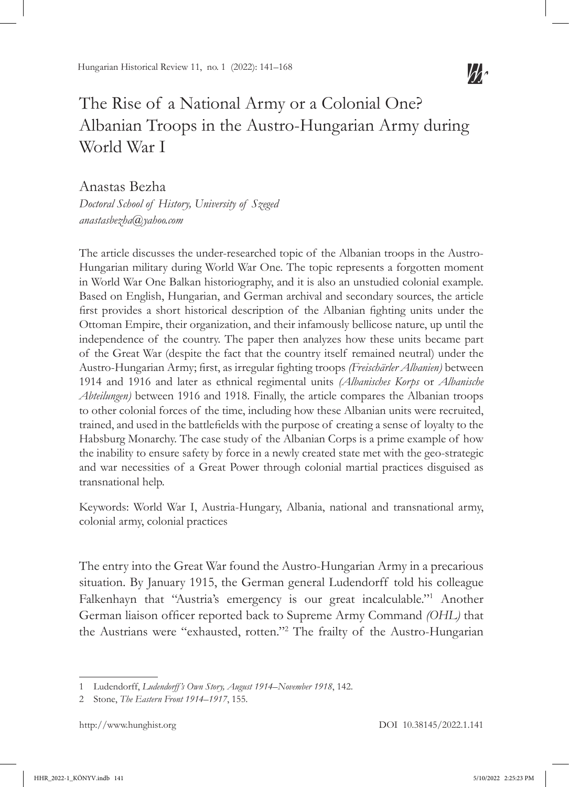# The Rise of a National Army or a Colonial One? Albanian Troops in the Austro-Hungarian Army during World War I

Anastas Bezha

*Doctoral School of History, University of Szeged anastasbezha@yahoo.com*

The article discusses the under-researched topic of the Albanian troops in the Austro-Hungarian military during World War One. The topic represents a forgotten moment in World War One Balkan historiography, and it is also an unstudied colonial example. Based on English, Hungarian, and German archival and secondary sources, the article first provides a short historical description of the Albanian fighting units under the Ottoman Empire, their organization, and their infamously bellicose nature, up until the independence of the country. The paper then analyzes how these units became part of the Great War (despite the fact that the country itself remained neutral) under the Austro-Hungarian Army; first, as irregular fighting troops *(Freischärler Albanien)* between 1914 and 1916 and later as ethnical regimental units *(Albanisches Korps* or *Albanische Abteilungen)* between 1916 and 1918. Finally, the article compares the Albanian troops to other colonial forces of the time, including how these Albanian units were recruited, trained, and used in the battlefields with the purpose of creating a sense of loyalty to the Habsburg Monarchy. The case study of the Albanian Corps is a prime example of how the inability to ensure safety by force in a newly created state met with the geo-strategic and war necessities of a Great Power through colonial martial practices disguised as transnational help.

Keywords: World War I, Austria-Hungary, Albania, national and transnational army, colonial army, colonial practices

The entry into the Great War found the Austro-Hungarian Army in a precarious situation. By January 1915, the German general Ludendorff told his colleague Falkenhayn that "Austria's emergency is our great incalculable."<sup>1</sup> Another German liaison officer reported back to Supreme Army Command *(OHL)* that the Austrians were "exhausted, rotten."<sup>2</sup> The frailty of the Austro-Hungarian

<sup>1</sup> Ludendorff, *Ludendorff's Own Story, August 1914–November 1918*, 142.

<sup>2</sup> Stone, *The Eastern Front 1914–1917*, 155.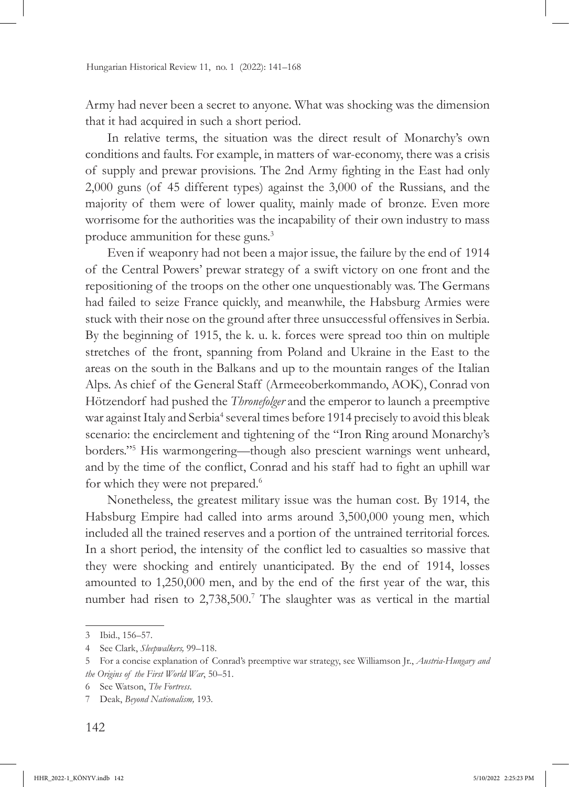Army had never been a secret to anyone. What was shocking was the dimension that it had acquired in such a short period.

In relative terms, the situation was the direct result of Monarchy's own conditions and faults. For example, in matters of war-economy, there was a crisis of supply and prewar provisions. The 2nd Army fighting in the East had only 2,000 guns (of 45 different types) against the 3,000 of the Russians, and the majority of them were of lower quality, mainly made of bronze. Even more worrisome for the authorities was the incapability of their own industry to mass produce ammunition for these guns.<sup>3</sup>

Even if weaponry had not been a major issue, the failure by the end of 1914 of the Central Powers' prewar strategy of a swift victory on one front and the repositioning of the troops on the other one unquestionably was. The Germans had failed to seize France quickly, and meanwhile, the Habsburg Armies were stuck with their nose on the ground after three unsuccessful offensives in Serbia. By the beginning of 1915, the k. u. k. forces were spread too thin on multiple stretches of the front, spanning from Poland and Ukraine in the East to the areas on the south in the Balkans and up to the mountain ranges of the Italian Alps. As chief of the General Staff (Armeeoberkommando, AOK), Conrad von Hötzendorf had pushed the *Thronefolger* and the emperor to launch a preemptive war against Italy and Serbia<sup>4</sup> several times before 1914 precisely to avoid this bleak scenario: the encirclement and tightening of the "Iron Ring around Monarchy's borders."<sup>5</sup> His warmongering—though also prescient warnings went unheard, and by the time of the conflict, Conrad and his staff had to fight an uphill war for which they were not prepared.<sup>6</sup>

Nonetheless, the greatest military issue was the human cost. By 1914, the Habsburg Empire had called into arms around 3,500,000 young men, which included all the trained reserves and a portion of the untrained territorial forces. In a short period, the intensity of the conflict led to casualties so massive that they were shocking and entirely unanticipated. By the end of 1914, losses amounted to 1,250,000 men, and by the end of the first year of the war, this number had risen to 2,738,500.<sup>7</sup> The slaughter was as vertical in the martial

<sup>3</sup> Ibid., 156–57.

<sup>4</sup> See Clark, *Sleepwalkers,* 99–118.

<sup>5</sup> For a concise explanation of Conrad's preemptive war strategy, see Williamson Jr., *Austria-Hungary and the Origins of the First World War*, 50–51.

<sup>6</sup> See Watson, *The Fortress*.

<sup>7</sup> Deak, *Beyond Nationalism,* 193.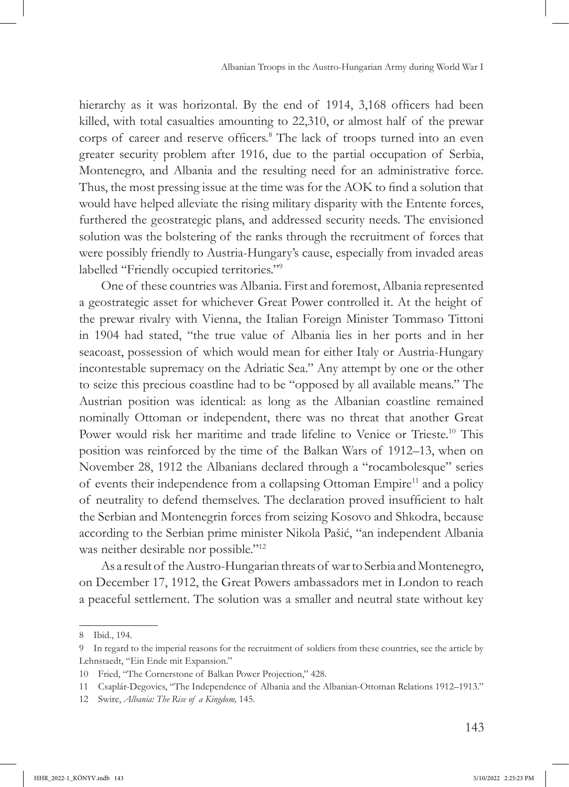hierarchy as it was horizontal. By the end of 1914, 3,168 officers had been killed, with total casualties amounting to 22,310, or almost half of the prewar corps of career and reserve officers.<sup>8</sup> The lack of troops turned into an even greater security problem after 1916, due to the partial occupation of Serbia, Montenegro, and Albania and the resulting need for an administrative force. Thus, the most pressing issue at the time was for the AOK to find a solution that would have helped alleviate the rising military disparity with the Entente forces, furthered the geostrategic plans, and addressed security needs. The envisioned solution was the bolstering of the ranks through the recruitment of forces that were possibly friendly to Austria-Hungary's cause, especially from invaded areas labelled "Friendly occupied territories."<sup>9</sup>

One of these countries was Albania. First and foremost, Albania represented a geostrategic asset for whichever Great Power controlled it. At the height of the prewar rivalry with Vienna, the Italian Foreign Minister Tommaso Tittoni in 1904 had stated, "the true value of Albania lies in her ports and in her seacoast, possession of which would mean for either Italy or Austria-Hungary incontestable supremacy on the Adriatic Sea." Any attempt by one or the other to seize this precious coastline had to be "opposed by all available means." The Austrian position was identical: as long as the Albanian coastline remained nominally Ottoman or independent, there was no threat that another Great Power would risk her maritime and trade lifeline to Venice or Trieste.<sup>10</sup> This position was reinforced by the time of the Balkan Wars of 1912–13, when on November 28, 1912 the Albanians declared through a "rocambolesque" series of events their independence from a collapsing Ottoman Empire<sup>11</sup> and a policy of neutrality to defend themselves. The declaration proved insufficient to halt the Serbian and Montenegrin forces from seizing Kosovo and Shkodra, because according to the Serbian prime minister Nikola Pašić, "an independent Albania was neither desirable nor possible."<sup>12</sup>

As a result of the Austro-Hungarian threats of war to Serbia and Montenegro, on December 17, 1912, the Great Powers ambassadors met in London to reach a peaceful settlement. The solution was a smaller and neutral state without key

<sup>8</sup> Ibid., 194.

<sup>9</sup> In regard to the imperial reasons for the recruitment of soldiers from these countries, see the article by Lehnstaedt, "Ein Ende mit Expansion."

<sup>10</sup> Fried, "The Cornerstone of Balkan Power Projection," 428*.*

<sup>11</sup> Csaplár-Degovics, "The Independence of Albania and the Albanian-Ottoman Relations 1912–1913."

<sup>12</sup> Swire, *Albania: The Rise of a Kingdom,* 145.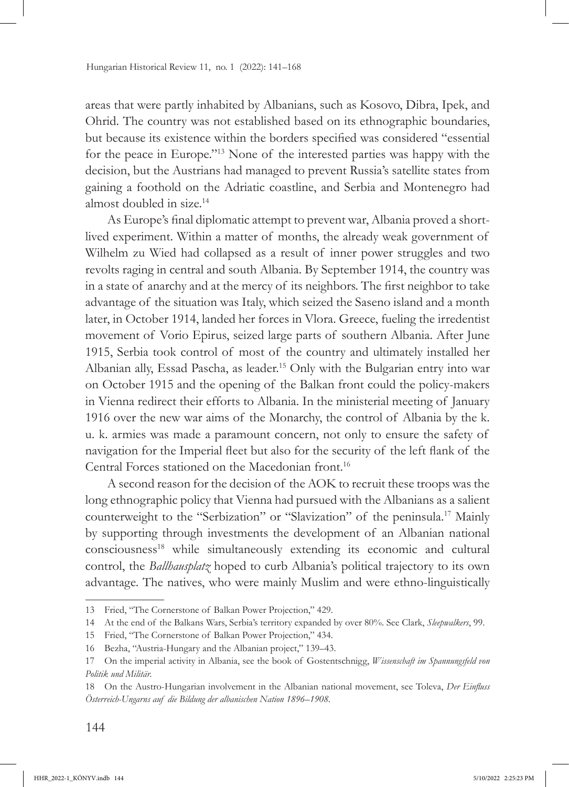areas that were partly inhabited by Albanians, such as Kosovo, Dibra, Ipek, and Ohrid. The country was not established based on its ethnographic boundaries, but because its existence within the borders specified was considered "essential for the peace in Europe."13 None of the interested parties was happy with the decision, but the Austrians had managed to prevent Russia's satellite states from gaining a foothold on the Adriatic coastline, and Serbia and Montenegro had almost doubled in size.14

As Europe's final diplomatic attempt to prevent war, Albania proved a shortlived experiment. Within a matter of months, the already weak government of Wilhelm zu Wied had collapsed as a result of inner power struggles and two revolts raging in central and south Albania. By September 1914, the country was in a state of anarchy and at the mercy of its neighbors. The first neighbor to take advantage of the situation was Italy, which seized the Saseno island and a month later, in October 1914, landed her forces in Vlora. Greece, fueling the irredentist movement of Vorio Epirus, seized large parts of southern Albania. After June 1915, Serbia took control of most of the country and ultimately installed her Albanian ally, Essad Pascha, as leader.15 Only with the Bulgarian entry into war on October 1915 and the opening of the Balkan front could the policy-makers in Vienna redirect their efforts to Albania. In the ministerial meeting of January 1916 over the new war aims of the Monarchy, the control of Albania by the k. u. k. armies was made a paramount concern, not only to ensure the safety of navigation for the Imperial fleet but also for the security of the left flank of the Central Forces stationed on the Macedonian front.<sup>16</sup>

A second reason for the decision of the AOK to recruit these troops was the long ethnographic policy that Vienna had pursued with the Albanians as a salient counterweight to the "Serbization" or "Slavization" of the peninsula.17 Mainly by supporting through investments the development of an Albanian national consciousness18 while simultaneously extending its economic and cultural control, the *Ballhausplatz* hoped to curb Albania's political trajectory to its own advantage. The natives, who were mainly Muslim and were ethno-linguistically

<sup>13</sup> Fried, "The Cornerstone of Balkan Power Projection," 429.

<sup>14</sup> At the end of the Balkans Wars, Serbia's territory expanded by over 80%. See Clark, *Sleepwalkers*, 99.

<sup>15</sup> Fried, "The Cornerstone of Balkan Power Projection," 434.

<sup>16</sup> Bezha, "Austria-Hungary and the Albanian project," 139–43.

<sup>17</sup> On the imperial activity in Albania, see the book of Gostentschnigg, *Wissenschaft im Spannungsfeld von Politik und Militär.*

<sup>18</sup> On the Austro-Hungarian involvement in the Albanian national movement, see Toleva, *Der Einfluss Österreich-Ungarns auf die Bildung der albanischen Nation 1896–1908.*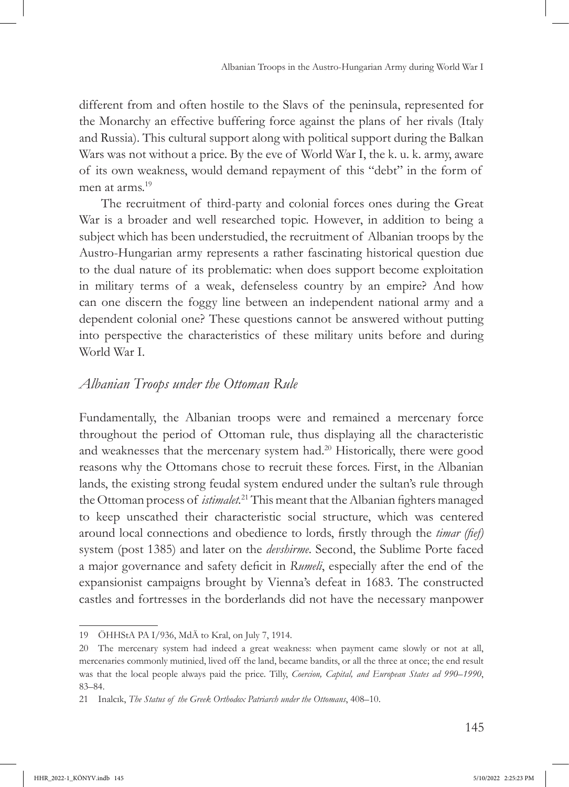different from and often hostile to the Slavs of the peninsula, represented for the Monarchy an effective buffering force against the plans of her rivals (Italy and Russia). This cultural support along with political support during the Balkan Wars was not without a price. By the eve of World War I, the k. u. k. army, aware of its own weakness, would demand repayment of this "debt" in the form of men at arms.<sup>19</sup>

The recruitment of third-party and colonial forces ones during the Great War is a broader and well researched topic. However, in addition to being a subject which has been understudied, the recruitment of Albanian troops by the Austro-Hungarian army represents a rather fascinating historical question due to the dual nature of its problematic: when does support become exploitation in military terms of a weak, defenseless country by an empire? And how can one discern the foggy line between an independent national army and a dependent colonial one? These questions cannot be answered without putting into perspective the characteristics of these military units before and during World War I.

### *Albanian Troops under the Ottoman Rule*

Fundamentally, the Albanian troops were and remained a mercenary force throughout the period of Ottoman rule, thus displaying all the characteristic and weaknesses that the mercenary system had.20 Historically, there were good reasons why the Ottomans chose to recruit these forces. First, in the Albanian lands, the existing strong feudal system endured under the sultan's rule through the Ottoman process of *istimalet.*<sup>21</sup> This meant that the Albanian fighters managed to keep unscathed their characteristic social structure, which was centered around local connections and obedience to lords, firstly through the *timar (fief)* system (post 1385) and later on the *devshirme*. Second, the Sublime Porte faced a major governance and safety deficit in *Rumeli*, especially after the end of the expansionist campaigns brought by Vienna's defeat in 1683. The constructed castles and fortresses in the borderlands did not have the necessary manpower

<sup>19</sup> ÖHHStA PA I/936, MdÄ to Kral, on July 7, 1914.

<sup>20</sup> The mercenary system had indeed a great weakness: when payment came slowly or not at all, mercenaries commonly mutinied, lived off the land, became bandits, or all the three at once; the end result was that the local people always paid the price. Tilly, *Coercion, Capital, and European States ad 990–1990*, 83–84.

<sup>21</sup> Inalcık, *The Status of the Greek Orthodox Patriarch under the Ottomans*, 408–10.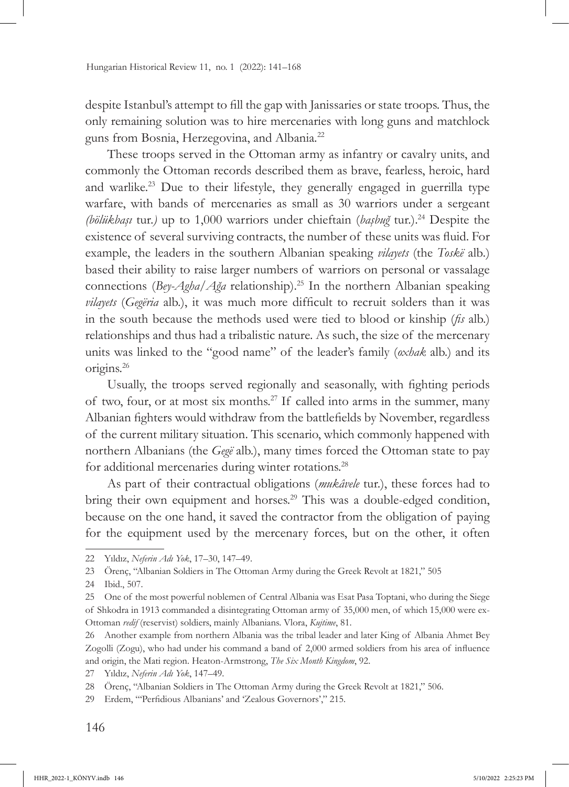despite Istanbul's attempt to fill the gap with Janissaries or state troops. Thus, the only remaining solution was to hire mercenaries with long guns and matchlock guns from Bosnia, Herzegovina, and Albania*.* 22

These troops served in the Ottoman army as infantry or cavalry units, and commonly the Ottoman records described them as brave, fearless, heroic, hard and warlike.23 Due to their lifestyle, they generally engaged in guerrilla type warfare, with bands of mercenaries as small as 30 warriors under a sergeant *(bölükbaşı* tur.*)* up to 1,000 warriors under chieftain (*başbuğ* tur.).24 Despite the existence of several surviving contracts, the number of these units was fluid. For example, the leaders in the southern Albanian speaking *vilayets* (the *Toskë* alb*.*) based their ability to raise larger numbers of warriors on personal or vassalage connections (*Bey-Agha/Ağa* relationship).25 In the northern Albanian speaking *vilayets* (*Gegëria* alb.), it was much more difficult to recruit solders than it was in the south because the methods used were tied to blood or kinship (*fis* alb.) relationships and thus had a tribalistic nature. As such, the size of the mercenary units was linked to the "good name" of the leader's family (*oxhak* alb.) and its origins.26

Usually, the troops served regionally and seasonally, with fighting periods of two, four, or at most six months.27 If called into arms in the summer, many Albanian fighters would withdraw from the battlefields by November, regardless of the current military situation. This scenario, which commonly happened with northern Albanians (the *Gegë* alb.), many times forced the Ottoman state to pay for additional mercenaries during winter rotations.<sup>28</sup>

As part of their contractual obligations (*mukâvele* tur.), these forces had to bring their own equipment and horses.<sup>29</sup> This was a double-edged condition, because on the one hand, it saved the contractor from the obligation of paying for the equipment used by the mercenary forces, but on the other, it often

<sup>22</sup> Yıldız, *Neferin Adı Yok*, 17–30, 147–49.

<sup>23</sup> Örenç, "Albanian Soldiers in The Ottoman Army during the Greek Revolt at 1821," 505

<sup>24</sup> Ibid., 507.

<sup>25</sup> One of the most powerful noblemen of Central Albania was Esat Pasa Toptani, who during the Siege of Shkodra in 1913 commanded a disintegrating Ottoman army of 35,000 men, of which 15,000 were ex-Ottoman *redif* (reservist) soldiers, mainly Albanians. Vlora, *Kujtime*, 81.

<sup>26</sup> Another example from northern Albania was the tribal leader and later King of Albania Ahmet Bey Zogolli (Zogu), who had under his command a band of 2,000 armed soldiers from his area of influence and origin, the Mati region. Heaton-Armstrong, *The Six Month Kingdom*, 92.

<sup>27</sup> Yıldız, *Neferin Adı Yok*, 147–49.

<sup>28</sup> Örenç, "Albanian Soldiers in The Ottoman Army during the Greek Revolt at 1821," 506.

<sup>29</sup> Erdem, "'Perfidious Albanians' and 'Zealous Governors'," 215.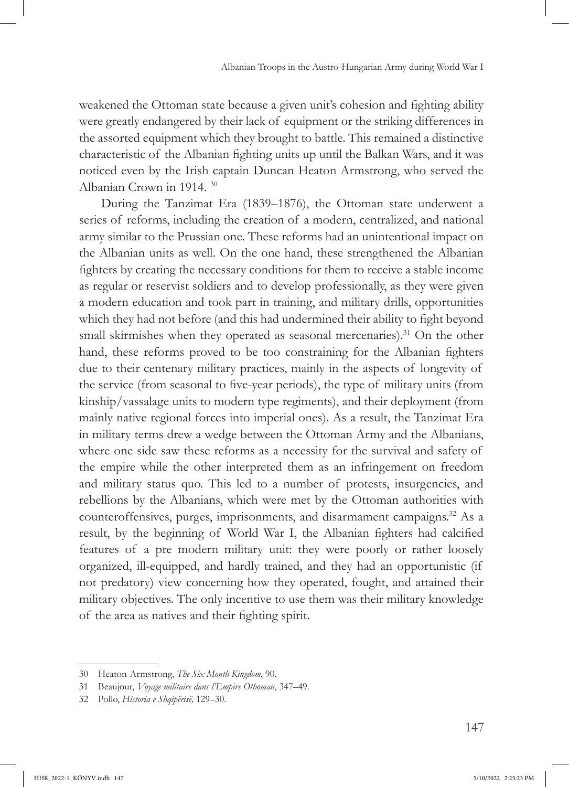weakened the Ottoman state because a given unit's cohesion and fighting ability were greatly endangered by their lack of equipment or the striking differences in the assorted equipment which they brought to battle. This remained a distinctive characteristic of the Albanian fighting units up until the Balkan Wars, and it was noticed even by the Irish captain Duncan Heaton Armstrong, who served the Albanian Crown in 1914. 30

During the Tanzimat Era (1839–1876), the Ottoman state underwent a series of reforms, including the creation of a modern, centralized, and national army similar to the Prussian one. These reforms had an unintentional impact on the Albanian units as well. On the one hand, these strengthened the Albanian fighters by creating the necessary conditions for them to receive a stable income as regular or reservist soldiers and to develop professionally, as they were given a modern education and took part in training, and military drills, opportunities which they had not before (and this had undermined their ability to fight beyond small skirmishes when they operated as seasonal mercenaries).<sup>31</sup> On the other hand, these reforms proved to be too constraining for the Albanian fighters due to their centenary military practices, mainly in the aspects of longevity of the service (from seasonal to five-year periods), the type of military units (from kinship/vassalage units to modern type regiments), and their deployment (from mainly native regional forces into imperial ones). As a result, the Tanzimat Era in military terms drew a wedge between the Ottoman Army and the Albanians, where one side saw these reforms as a necessity for the survival and safety of the empire while the other interpreted them as an infringement on freedom and military status quo. This led to a number of protests, insurgencies, and rebellions by the Albanians, which were met by the Ottoman authorities with counteroffensives, purges, imprisonments, and disarmament campaigns.32 As a result, by the beginning of World War I, the Albanian fighters had calcified features of a pre modern military unit: they were poorly or rather loosely organized, ill-equipped, and hardly trained, and they had an opportunistic (if not predatory) view concerning how they operated, fought, and attained their military objectives. The only incentive to use them was their military knowledge of the area as natives and their fighting spirit.

<sup>30</sup> Heaton-Armstrong, *The Six Month Kingdom*, 90.

<sup>31</sup> Beaujour, *Voyage militaire dans l'Empire Othoman*, 347–49.

<sup>32</sup> Pollo, *Historia e Shqipërisë,* 129–30.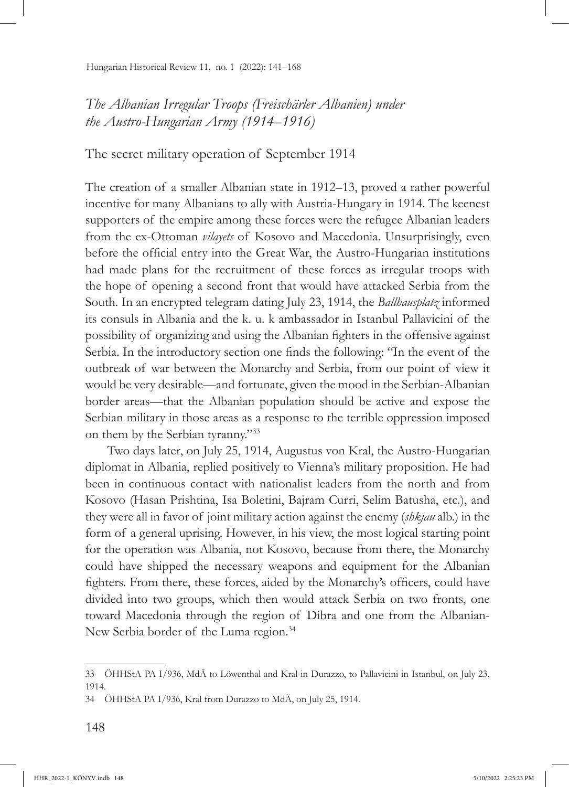*The Albanian Irregular Troops (Freischärler Albanien) under the Austro-Hungarian Army (1914–1916)*

The secret military operation of September 1914

The creation of a smaller Albanian state in 1912–13, proved a rather powerful incentive for many Albanians to ally with Austria-Hungary in 1914. The keenest supporters of the empire among these forces were the refugee Albanian leaders from the ex-Ottoman *vilayets* of Kosovo and Macedonia. Unsurprisingly, even before the official entry into the Great War, the Austro-Hungarian institutions had made plans for the recruitment of these forces as irregular troops with the hope of opening a second front that would have attacked Serbia from the South. In an encrypted telegram dating July 23, 1914, the *Ballhausplatz* informed its consuls in Albania and the k. u. k ambassador in Istanbul Pallavicini of the possibility of organizing and using the Albanian fighters in the offensive against Serbia. In the introductory section one finds the following: "In the event of the outbreak of war between the Monarchy and Serbia, from our point of view it would be very desirable—and fortunate, given the mood in the Serbian-Albanian border areas—that the Albanian population should be active and expose the Serbian military in those areas as a response to the terrible oppression imposed on them by the Serbian tyranny."<sup>33</sup>

Two days later, on July 25, 1914, Augustus von Kral, the Austro-Hungarian diplomat in Albania, replied positively to Vienna's military proposition. He had been in continuous contact with nationalist leaders from the north and from Kosovo (Hasan Prishtina, Isa Boletini, Bajram Curri, Selim Batusha, etc.), and they were all in favor of joint military action against the enemy (*shkjau* alb.) in the form of a general uprising. However, in his view, the most logical starting point for the operation was Albania, not Kosovo, because from there, the Monarchy could have shipped the necessary weapons and equipment for the Albanian fighters. From there, these forces, aided by the Monarchy's officers, could have divided into two groups, which then would attack Serbia on two fronts, one toward Macedonia through the region of Dibra and one from the Albanian-New Serbia border of the Luma region.<sup>34</sup>

<sup>33</sup> ÖHHStA PA I/936, MdÄ to Löwenthal and Kral in Durazzo, to Pallavicini in Istanbul, on July 23, 1914.

<sup>34</sup> ÖHHStA PA I/936, Kral from Durazzo to MdÄ, on July 25, 1914.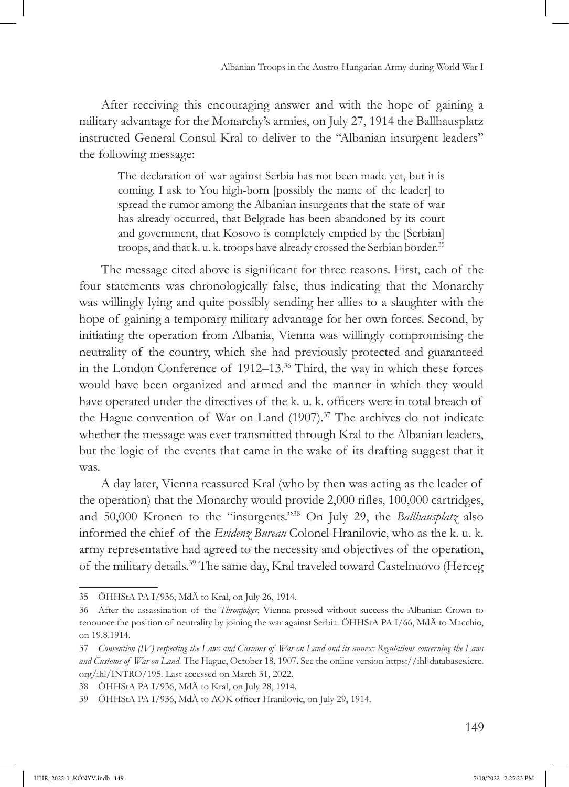After receiving this encouraging answer and with the hope of gaining a military advantage for the Monarchy's armies, on July 27, 1914 the Ballhausplatz instructed General Consul Kral to deliver to the "Albanian insurgent leaders" the following message:

The declaration of war against Serbia has not been made yet, but it is coming. I ask to You high-born [possibly the name of the leader] to spread the rumor among the Albanian insurgents that the state of war has already occurred, that Belgrade has been abandoned by its court and government, that Kosovo is completely emptied by the [Serbian] troops, and that k. u. k. troops have already crossed the Serbian border.<sup>35</sup>

The message cited above is significant for three reasons. First, each of the four statements was chronologically false, thus indicating that the Monarchy was willingly lying and quite possibly sending her allies to a slaughter with the hope of gaining a temporary military advantage for her own forces. Second, by initiating the operation from Albania, Vienna was willingly compromising the neutrality of the country, which she had previously protected and guaranteed in the London Conference of 1912–13.36 Third, the way in which these forces would have been organized and armed and the manner in which they would have operated under the directives of the k. u. k. officers were in total breach of the Hague convention of War on Land  $(1907).$ <sup>37</sup> The archives do not indicate whether the message was ever transmitted through Kral to the Albanian leaders, but the logic of the events that came in the wake of its drafting suggest that it was.

A day later, Vienna reassured Kral (who by then was acting as the leader of the operation) that the Monarchy would provide 2,000 rifles, 100,000 cartridges, and 50,000 Kronen to the "insurgents."38 On July 29, the *Ballhausplatz* also informed the chief of the *Evidenz Bureau* Colonel Hranilovic, who as the k. u. k. army representative had agreed to the necessity and objectives of the operation, of the military details.39 The same day, Kral traveled toward Castelnuovo (Herceg

<sup>35</sup> ÖHHStA PA I/936, MdÄ to Kral, on July 26, 1914.

<sup>36</sup> After the assassination of the *Thronfolger*, Vienna pressed without success the Albanian Crown to renounce the position of neutrality by joining the war against Serbia. ÖHHStA PA I/66, MdÄ to Macchio, on 19.8.1914.

<sup>37</sup> *Convention (IV) respecting the Laws and Customs of War on Land and its annex: Regulations concerning the Laws and Customs of War on Land.* The Hague, October 18, 1907. See the online version https://ihl-databases.icrc. org/ihl/INTRO/195. Last accessed on March 31, 2022.

<sup>38</sup> ÖHHStA PA I/936, MdÄ to Kral, on July 28, 1914.

<sup>39</sup> ÖHHStA PA I/936, MdÄ to AOK officer Hranilovic, on July 29, 1914.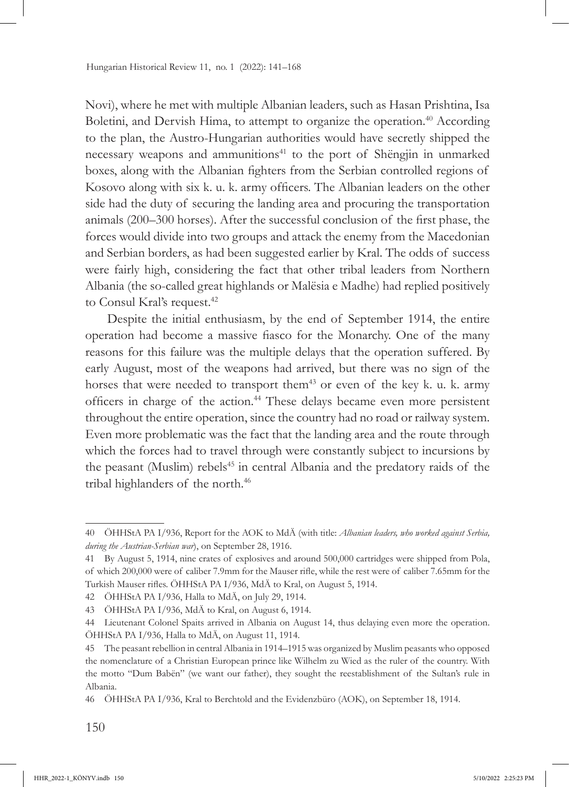Novi), where he met with multiple Albanian leaders, such as Hasan Prishtina, Isa Boletini, and Dervish Hima, to attempt to organize the operation.<sup>40</sup> According to the plan, the Austro-Hungarian authorities would have secretly shipped the necessary weapons and ammunitions<sup>41</sup> to the port of Shëngjin in unmarked boxes, along with the Albanian fighters from the Serbian controlled regions of Kosovo along with six k. u. k. army officers. The Albanian leaders on the other side had the duty of securing the landing area and procuring the transportation animals (200–300 horses). After the successful conclusion of the first phase, the forces would divide into two groups and attack the enemy from the Macedonian and Serbian borders, as had been suggested earlier by Kral. The odds of success were fairly high, considering the fact that other tribal leaders from Northern Albania (the so-called great highlands or Malësia e Madhe) had replied positively to Consul Kral's request.<sup>42</sup>

Despite the initial enthusiasm, by the end of September 1914, the entire operation had become a massive fiasco for the Monarchy. One of the many reasons for this failure was the multiple delays that the operation suffered. By early August, most of the weapons had arrived, but there was no sign of the horses that were needed to transport them<sup>43</sup> or even of the key k. u. k. army officers in charge of the action.<sup>44</sup> These delays became even more persistent throughout the entire operation, since the country had no road or railway system. Even more problematic was the fact that the landing area and the route through which the forces had to travel through were constantly subject to incursions by the peasant (Muslim) rebels<sup>45</sup> in central Albania and the predatory raids of the tribal highlanders of the north.<sup>46</sup>

<sup>40</sup> ÖHHStA PA I/936, Report for the AOK to MdÄ (with title: *Albanian leaders, who worked against Serbia, during the Austrian-Serbian war*), on September 28, 1916.

<sup>41</sup> By August 5, 1914, nine crates of explosives and around 500,000 cartridges were shipped from Pola, of which 200,000 were of caliber 7.9mm for the Mauser rifle, while the rest were of caliber 7.65mm for the Turkish Mauser rifles. ÖHHStA PA I/936, MdÄ to Kral, on August 5, 1914.

<sup>42</sup> ÖHHStA PA I/936, Halla to MdÄ, on July 29, 1914.

<sup>43</sup> ÖHHStA PA I/936, MdÄ to Kral, on August 6, 1914.

<sup>44</sup> Lieutenant Colonel Spaits arrived in Albania on August 14, thus delaying even more the operation. ÖHHStA PA I/936, Halla to MdÄ, on August 11, 1914.

<sup>45</sup> The peasant rebellion in central Albania in 1914–1915 was organized by Muslim peasants who opposed the nomenclature of a Christian European prince like Wilhelm zu Wied as the ruler of the country. With the motto "Dum Babën" (we want our father), they sought the reestablishment of the Sultan's rule in Albania.

<sup>46</sup> ÖHHStA PA I/936, Kral to Berchtold and the Evidenzbüro (AOK), on September 18, 1914.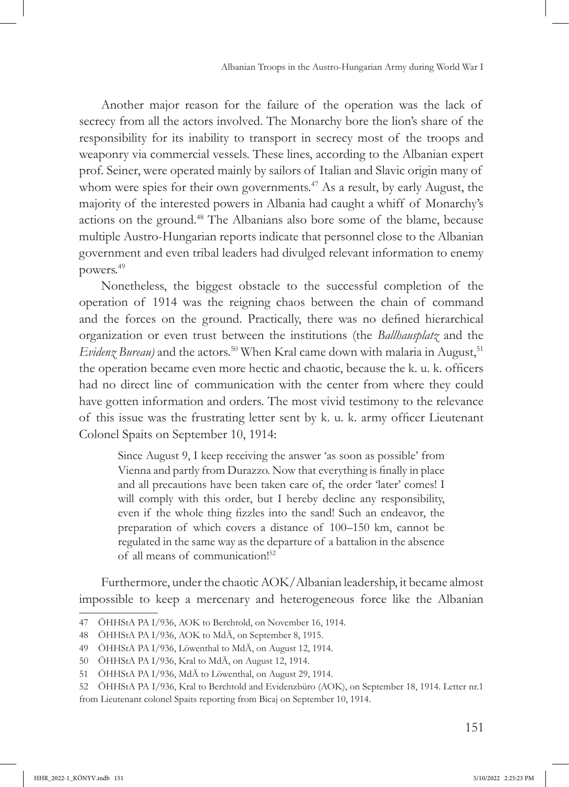Another major reason for the failure of the operation was the lack of secrecy from all the actors involved. The Monarchy bore the lion's share of the responsibility for its inability to transport in secrecy most of the troops and weaponry via commercial vessels. These lines, according to the Albanian expert prof. Seiner, were operated mainly by sailors of Italian and Slavic origin many of whom were spies for their own governments.<sup>47</sup> As a result, by early August, the majority of the interested powers in Albania had caught a whiff of Monarchy's actions on the ground.48 The Albanians also bore some of the blame, because multiple Austro-Hungarian reports indicate that personnel close to the Albanian government and even tribal leaders had divulged relevant information to enemy powers.49

Nonetheless, the biggest obstacle to the successful completion of the operation of 1914 was the reigning chaos between the chain of command and the forces on the ground. Practically, there was no defined hierarchical organization or even trust between the institutions (the *Ballhausplatz* and the *Evidenz Bureau*) and the actors.<sup>50</sup> When Kral came down with malaria in August,<sup>51</sup> the operation became even more hectic and chaotic, because the k. u. k. officers had no direct line of communication with the center from where they could have gotten information and orders. The most vivid testimony to the relevance of this issue was the frustrating letter sent by k. u. k. army officer Lieutenant Colonel Spaits on September 10, 1914:

Since August 9, I keep receiving the answer 'as soon as possible' from Vienna and partly from Durazzo. Now that everything is finally in place and all precautions have been taken care of, the order 'later' comes! I will comply with this order, but I hereby decline any responsibility, even if the whole thing fizzles into the sand! Such an endeavor, the preparation of which covers a distance of 100–150 km, cannot be regulated in the same way as the departure of a battalion in the absence of all means of communication!52

Furthermore, under the chaotic AOK/Albanian leadership, it became almost impossible to keep a mercenary and heterogeneous force like the Albanian

<sup>47</sup> ÖHHStA PA I/936, AOK to Berchtold, on November 16, 1914.

<sup>48</sup> ÖHHStA PA I/936, AOK to MdÄ, on September 8, 1915.

<sup>49</sup> ÖHHStA PA I/936, Löwenthal to MdÄ, on August 12, 1914.

<sup>50</sup> ÖHHStA PA I/936, Kral to MdÄ, on August 12, 1914.

<sup>51</sup> ÖHHStA PA I/936, MdÄ to Löwenthal, on August 29, 1914.

<sup>52</sup> ÖHHStA PA I/936, Kral to Berchtold and Evidenzbüro (AOK), on September 18, 1914. Letter nr.1 from Lieutenant colonel Spaits reporting from Bicaj on September 10, 1914.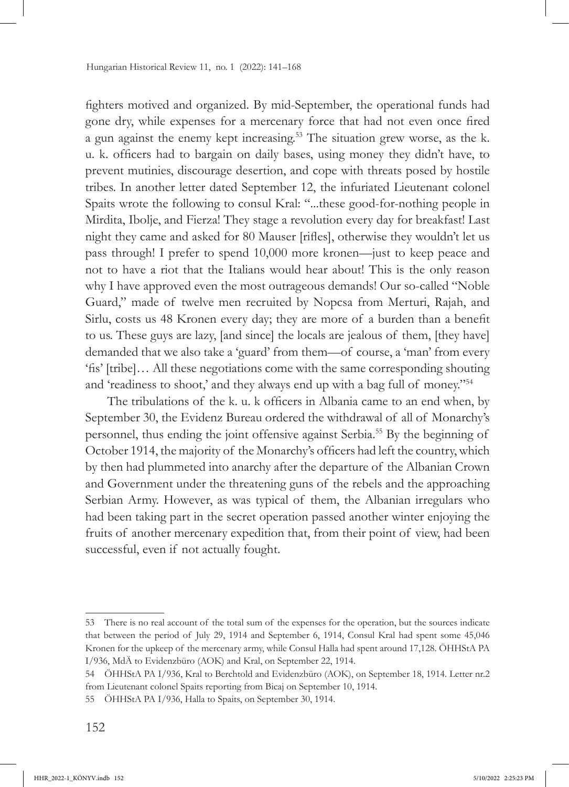fighters motived and organized. By mid-September, the operational funds had gone dry, while expenses for a mercenary force that had not even once fired a gun against the enemy kept increasing.53 The situation grew worse, as the k. u. k. officers had to bargain on daily bases, using money they didn't have, to prevent mutinies, discourage desertion, and cope with threats posed by hostile tribes. In another letter dated September 12, the infuriated Lieutenant colonel Spaits wrote the following to consul Kral: "...these good-for-nothing people in Mirdita, Ibolje, and Fierza! They stage a revolution every day for breakfast! Last night they came and asked for 80 Mauser [rifles], otherwise they wouldn't let us pass through! I prefer to spend 10,000 more kronen—just to keep peace and not to have a riot that the Italians would hear about! This is the only reason why I have approved even the most outrageous demands! Our so-called "Noble Guard," made of twelve men recruited by Nopcsa from Merturi, Rajah, and Sirlu, costs us 48 Kronen every day; they are more of a burden than a benefit to us. These guys are lazy, [and since] the locals are jealous of them, [they have] demanded that we also take a 'guard' from them—of course, a 'man' from every 'fis' [tribe]… All these negotiations come with the same corresponding shouting and 'readiness to shoot,' and they always end up with a bag full of money."<sup>54</sup>

The tribulations of the k. u. k officers in Albania came to an end when, by September 30, the Evidenz Bureau ordered the withdrawal of all of Monarchy's personnel, thus ending the joint offensive against Serbia.55 By the beginning of October 1914, the majority of the Monarchy's officers had left the country, which by then had plummeted into anarchy after the departure of the Albanian Crown and Government under the threatening guns of the rebels and the approaching Serbian Army. However, as was typical of them, the Albanian irregulars who had been taking part in the secret operation passed another winter enjoying the fruits of another mercenary expedition that, from their point of view, had been successful, even if not actually fought.

<sup>53</sup> There is no real account of the total sum of the expenses for the operation, but the sources indicate that between the period of July 29, 1914 and September 6, 1914, Consul Kral had spent some 45,046 Kronen for the upkeep of the mercenary army, while Consul Halla had spent around 17,128. ÖHHStA PA I/936, MdÄ to Evidenzbüro (AOK) and Kral, on September 22, 1914.

<sup>54</sup> ÖHHStA PA I/936, Kral to Berchtold and Evidenzbüro (AOK), on September 18, 1914. Letter nr.2 from Lieutenant colonel Spaits reporting from Bicaj on September 10, 1914.

<sup>55</sup> ÖHHStA PA I/936, Halla to Spaits, on September 30, 1914.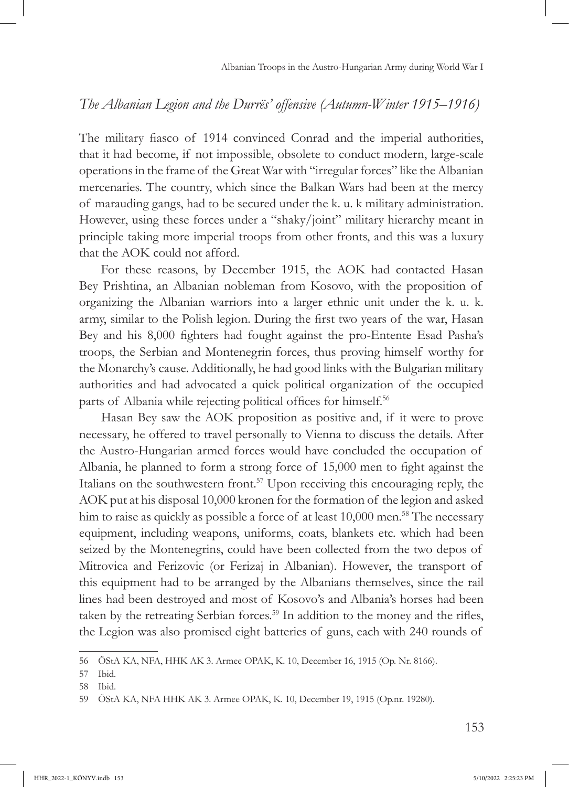### *The Albanian Legion and the Durrës' offensive (Autumn-Winter 1915–1916)*

The military fiasco of 1914 convinced Conrad and the imperial authorities, that it had become, if not impossible, obsolete to conduct modern, large-scale operations in the frame of the Great War with "irregular forces" like the Albanian mercenaries. The country, which since the Balkan Wars had been at the mercy of marauding gangs, had to be secured under the k. u. k military administration. However, using these forces under a "shaky/joint" military hierarchy meant in principle taking more imperial troops from other fronts, and this was a luxury that the AOK could not afford.

For these reasons, by December 1915, the AOK had contacted Hasan Bey Prishtina, an Albanian nobleman from Kosovo, with the proposition of organizing the Albanian warriors into a larger ethnic unit under the k. u. k. army, similar to the Polish legion. During the first two years of the war, Hasan Bey and his 8,000 fighters had fought against the pro-Entente Esad Pasha's troops, the Serbian and Montenegrin forces, thus proving himself worthy for the Monarchy's cause. Additionally, he had good links with the Bulgarian military authorities and had advocated a quick political organization of the occupied parts of Albania while rejecting political offices for himself.<sup>56</sup>

Hasan Bey saw the AOK proposition as positive and, if it were to prove necessary, he offered to travel personally to Vienna to discuss the details. After the Austro-Hungarian armed forces would have concluded the occupation of Albania, he planned to form a strong force of 15,000 men to fight against the Italians on the southwestern front.57 Upon receiving this encouraging reply, the AOK put at his disposal 10,000 kronen for the formation of the legion and asked him to raise as quickly as possible a force of at least 10,000 men.<sup>58</sup> The necessary equipment, including weapons, uniforms, coats, blankets etc. which had been seized by the Montenegrins, could have been collected from the two depos of Mitrovica and Ferizovic (or Ferizaj in Albanian). However, the transport of this equipment had to be arranged by the Albanians themselves, since the rail lines had been destroyed and most of Kosovo's and Albania's horses had been taken by the retreating Serbian forces.<sup>59</sup> In addition to the money and the rifles, the Legion was also promised eight batteries of guns, each with 240 rounds of

<sup>56</sup> ÖStA KA, NFA, HHK AK 3. Armee OPAK, K. 10, December 16, 1915 (Op. Nr. 8166).

<sup>57</sup> Ibid.

<sup>58</sup> Ibid.

<sup>59</sup> ÖStA KA, NFA HHK AK 3. Armee OPAK, K. 10, December 19, 1915 (Op.nr. 19280).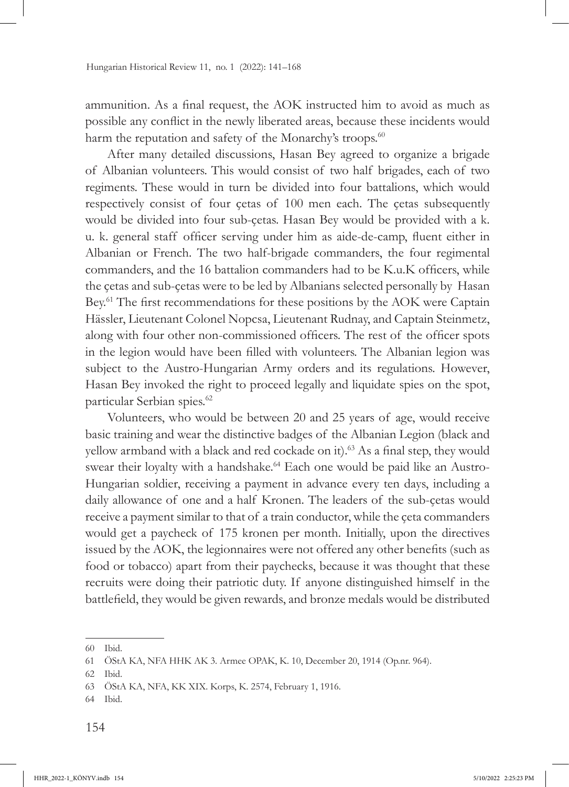ammunition. As a final request, the AOK instructed him to avoid as much as possible any conflict in the newly liberated areas, because these incidents would harm the reputation and safety of the Monarchy's troops.<sup>60</sup>

After many detailed discussions, Hasan Bey agreed to organize a brigade of Albanian volunteers. This would consist of two half brigades, each of two regiments. These would in turn be divided into four battalions, which would respectively consist of four çetas of 100 men each. The çetas subsequently would be divided into four sub-çetas. Hasan Bey would be provided with a k. u. k. general staff officer serving under him as aide-de-camp, fluent either in Albanian or French. The two half-brigade commanders, the four regimental commanders, and the 16 battalion commanders had to be K.u.K officers, while the çetas and sub-çetas were to be led by Albanians selected personally by Hasan Bey.<sup>61</sup> The first recommendations for these positions by the AOK were Captain Hässler, Lieutenant Colonel Nopcsa, Lieutenant Rudnay, and Captain Steinmetz, along with four other non-commissioned officers. The rest of the officer spots in the legion would have been filled with volunteers. The Albanian legion was subject to the Austro-Hungarian Army orders and its regulations. However, Hasan Bey invoked the right to proceed legally and liquidate spies on the spot, particular Serbian spies.62

Volunteers, who would be between 20 and 25 years of age, would receive basic training and wear the distinctive badges of the Albanian Legion (black and yellow armband with a black and red cockade on it).<sup>63</sup> As a final step, they would swear their loyalty with a handshake.<sup>64</sup> Each one would be paid like an Austro-Hungarian soldier, receiving a payment in advance every ten days, including a daily allowance of one and a half Kronen. The leaders of the sub-çetas would receive a payment similar to that of a train conductor, while the çeta commanders would get a paycheck of 175 kronen per month. Initially, upon the directives issued by the AOK, the legionnaires were not offered any other benefits (such as food or tobacco) apart from their paychecks, because it was thought that these recruits were doing their patriotic duty. If anyone distinguished himself in the battlefield, they would be given rewards, and bronze medals would be distributed

<sup>60</sup> Ibid.

<sup>61</sup> ÖStA KA, NFA HHK AK 3. Armee OPAK, K. 10, December 20, 1914 (Op.nr. 964).

<sup>62</sup> Ibid.

<sup>63</sup> ÖStA KA, NFA, KK XIX. Korps, K. 2574, February 1, 1916.

<sup>64</sup> Ibid.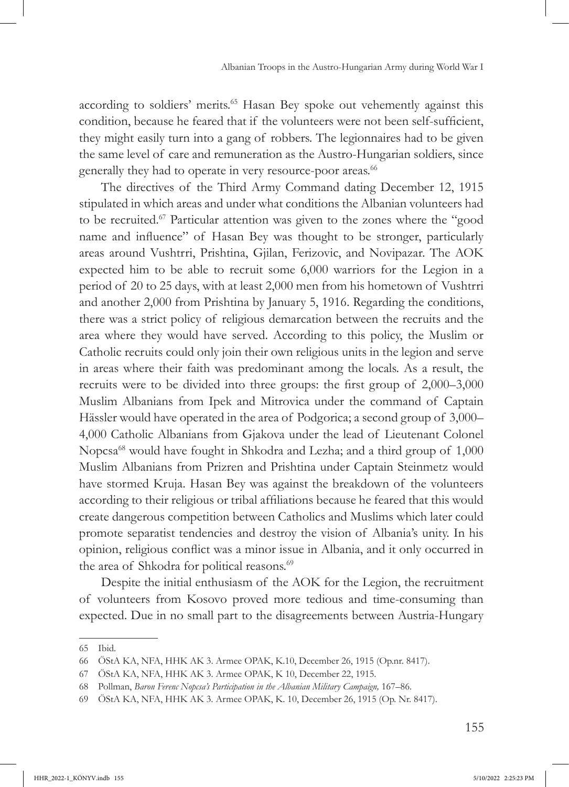according to soldiers' merits.<sup>65</sup> Hasan Bey spoke out vehemently against this condition, because he feared that if the volunteers were not been self-sufficient, they might easily turn into a gang of robbers. The legionnaires had to be given the same level of care and remuneration as the Austro-Hungarian soldiers, since generally they had to operate in very resource-poor areas.<sup>66</sup>

The directives of the Third Army Command dating December 12, 1915 stipulated in which areas and under what conditions the Albanian volunteers had to be recruited.67 Particular attention was given to the zones where the "good name and influence" of Hasan Bey was thought to be stronger, particularly areas around Vushtrri, Prishtina, Gjilan, Ferizovic, and Novipazar. The AOK expected him to be able to recruit some 6,000 warriors for the Legion in a period of 20 to 25 days, with at least 2,000 men from his hometown of Vushtrri and another 2,000 from Prishtina by January 5, 1916. Regarding the conditions, there was a strict policy of religious demarcation between the recruits and the area where they would have served. According to this policy, the Muslim or Catholic recruits could only join their own religious units in the legion and serve in areas where their faith was predominant among the locals. As a result, the recruits were to be divided into three groups: the first group of 2,000–3,000 Muslim Albanians from Ipek and Mitrovica under the command of Captain Hässler would have operated in the area of Podgorica; a second group of 3,000– 4,000 Catholic Albanians from Gjakova under the lead of Lieutenant Colonel Nopcsa<sup>68</sup> would have fought in Shkodra and Lezha; and a third group of 1,000 Muslim Albanians from Prizren and Prishtina under Captain Steinmetz would have stormed Kruja. Hasan Bey was against the breakdown of the volunteers according to their religious or tribal affiliations because he feared that this would create dangerous competition between Catholics and Muslims which later could promote separatist tendencies and destroy the vision of Albania's unity. In his opinion, religious conflict was a minor issue in Albania, and it only occurred in the area of Shkodra for political reasons.<sup>69</sup>

Despite the initial enthusiasm of the AOK for the Legion, the recruitment of volunteers from Kosovo proved more tedious and time-consuming than expected. Due in no small part to the disagreements between Austria-Hungary

<sup>65</sup> Ibid.

<sup>66</sup> ÖStA KA, NFA, HHK AK 3. Armee OPAK, K.10, December 26, 1915 (Op.nr. 8417).

<sup>67</sup> ÖStA KA, NFA, HHK AK 3. Armee OPAK, K 10, December 22, 1915.

<sup>68</sup> Pollman, *Baron Ferenc Nopcsa's Participation in the Albanian Military Campaign,* 167–86.

<sup>69</sup> ÖStA KA, NFA, HHK AK 3. Armee OPAK, K. 10, December 26, 1915 (Op. Nr. 8417).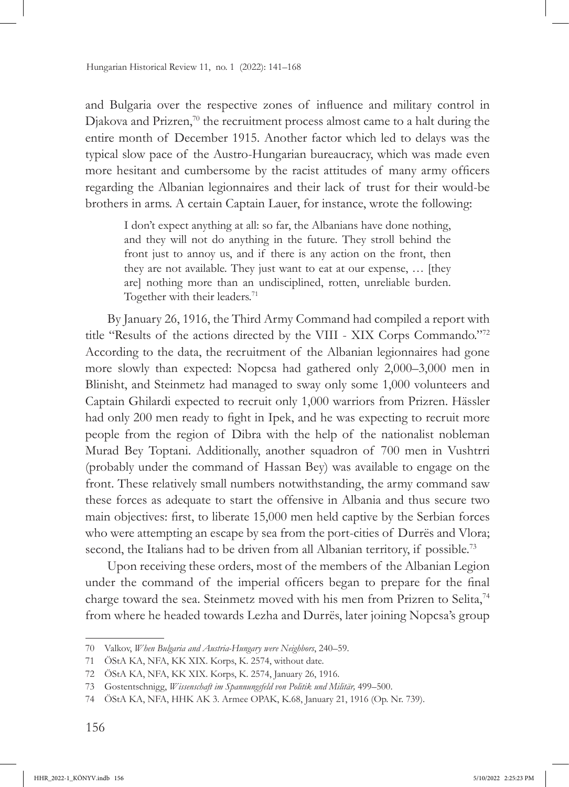and Bulgaria over the respective zones of influence and military control in Djakova and Prizren,<sup>70</sup> the recruitment process almost came to a halt during the entire month of December 1915. Another factor which led to delays was the typical slow pace of the Austro-Hungarian bureaucracy, which was made even more hesitant and cumbersome by the racist attitudes of many army officers regarding the Albanian legionnaires and their lack of trust for their would-be brothers in arms. A certain Captain Lauer, for instance, wrote the following:

I don't expect anything at all: so far, the Albanians have done nothing, and they will not do anything in the future. They stroll behind the front just to annoy us, and if there is any action on the front, then they are not available. They just want to eat at our expense, … [they are] nothing more than an undisciplined, rotten, unreliable burden. Together with their leaders.<sup>71</sup>

By January 26, 1916, the Third Army Command had compiled a report with title "Results of the actions directed by the VIII - XIX Corps Commando."<sup>72</sup> According to the data, the recruitment of the Albanian legionnaires had gone more slowly than expected: Nopcsa had gathered only 2,000–3,000 men in Blinisht, and Steinmetz had managed to sway only some 1,000 volunteers and Captain Ghilardi expected to recruit only 1,000 warriors from Prizren. Hässler had only 200 men ready to fight in Ipek, and he was expecting to recruit more people from the region of Dibra with the help of the nationalist nobleman Murad Bey Toptani. Additionally, another squadron of 700 men in Vushtrri (probably under the command of Hassan Bey) was available to engage on the front. These relatively small numbers notwithstanding, the army command saw these forces as adequate to start the offensive in Albania and thus secure two main objectives: first, to liberate 15,000 men held captive by the Serbian forces who were attempting an escape by sea from the port-cities of Durrës and Vlora; second, the Italians had to be driven from all Albanian territory, if possible.<sup>73</sup>

Upon receiving these orders, most of the members of the Albanian Legion under the command of the imperial officers began to prepare for the final charge toward the sea. Steinmetz moved with his men from Prizren to Selita,<sup>74</sup> from where he headed towards Lezha and Durrës, later joining Nopcsa's group

<sup>70</sup> Valkov, *When Bulgaria and Austria-Hungary were Neighbors*, 240–59.

<sup>71</sup> ÖStA KA, NFA, KK XIX. Korps, K. 2574, without date.

<sup>72</sup> ÖStA KA, NFA, KK XIX. Korps, K. 2574, January 26, 1916.

<sup>73</sup> Gostentschnigg, *Wissenschaft im Spannungsfeld von Politik und Militär,* 499–500.

<sup>74</sup> ÖStA KA, NFA, HHK AK 3. Armee OPAK, K.68, January 21, 1916 (Op. Nr. 739).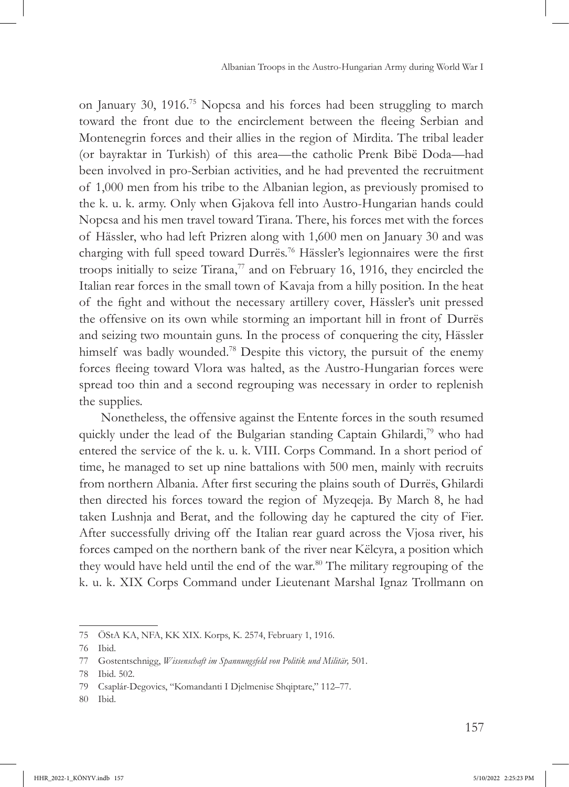on January 30, 1916.75 Nopcsa and his forces had been struggling to march toward the front due to the encirclement between the fleeing Serbian and Montenegrin forces and their allies in the region of Mirdita. The tribal leader (or bayraktar in Turkish) of this area—the catholic Prenk Bibë Doda—had been involved in pro-Serbian activities, and he had prevented the recruitment of 1,000 men from his tribe to the Albanian legion, as previously promised to the k. u. k. army. Only when Gjakova fell into Austro-Hungarian hands could Nopcsa and his men travel toward Tirana. There, his forces met with the forces of Hässler, who had left Prizren along with 1,600 men on January 30 and was charging with full speed toward Durrës.<sup>76</sup> Hässler's legionnaires were the first troops initially to seize Tirana, $77$  and on February 16, 1916, they encircled the Italian rear forces in the small town of Kavaja from a hilly position. In the heat of the fight and without the necessary artillery cover, Hässler's unit pressed the offensive on its own while storming an important hill in front of Durrës and seizing two mountain guns. In the process of conquering the city, Hässler himself was badly wounded.<sup>78</sup> Despite this victory, the pursuit of the enemy forces fleeing toward Vlora was halted, as the Austro-Hungarian forces were spread too thin and a second regrouping was necessary in order to replenish the supplies.

Nonetheless, the offensive against the Entente forces in the south resumed quickly under the lead of the Bulgarian standing Captain Ghilardi,<sup>79</sup> who had entered the service of the k. u. k. VIII. Corps Command. In a short period of time, he managed to set up nine battalions with 500 men, mainly with recruits from northern Albania. After first securing the plains south of Durrës, Ghilardi then directed his forces toward the region of Myzeqeja. By March 8, he had taken Lushnja and Berat, and the following day he captured the city of Fier. After successfully driving off the Italian rear guard across the Vjosa river, his forces camped on the northern bank of the river near Këlcyra, a position which they would have held until the end of the war.<sup>80</sup> The military regrouping of the k. u. k. XIX Corps Command under Lieutenant Marshal Ignaz Trollmann on

<sup>75</sup> ÖStA KA, NFA, KK XIX. Korps, K. 2574, February 1, 1916.

<sup>76</sup> Ibid.

<sup>77</sup> Gostentschnigg, *Wissenschaft im Spannungsfeld von Politik und Militär,* 501.

<sup>78</sup> Ibid. 502.

<sup>79</sup> Csaplár-Degovics, "Komandanti I Djelmenise Shqiptare," 112–77.

<sup>80</sup> Ibid.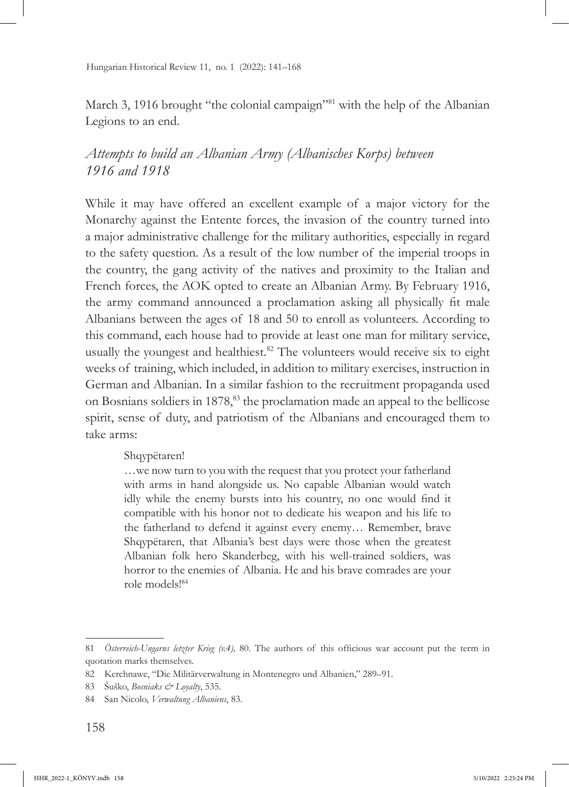March 3, 1916 brought "the colonial campaign"<sup>81</sup> with the help of the Albanian Legions to an end.

## *Attempts to build an Albanian Army (Albanisches Korps) between 1916 and 1918*

While it may have offered an excellent example of a major victory for the Monarchy against the Entente forces, the invasion of the country turned into a major administrative challenge for the military authorities, especially in regard to the safety question. As a result of the low number of the imperial troops in the country, the gang activity of the natives and proximity to the Italian and French forces, the AOK opted to create an Albanian Army. By February 1916, the army command announced a proclamation asking all physically fit male Albanians between the ages of 18 and 50 to enroll as volunteers. According to this command, each house had to provide at least one man for military service, usually the youngest and healthiest.<sup>82</sup> The volunteers would receive six to eight weeks of training, which included, in addition to military exercises, instruction in German and Albanian. In a similar fashion to the recruitment propaganda used on Bosnians soldiers in 1878,<sup>83</sup> the proclamation made an appeal to the bellicose spirit, sense of duty, and patriotism of the Albanians and encouraged them to take arms:

#### Shqypëtaren!

…we now turn to you with the request that you protect your fatherland with arms in hand alongside us. No capable Albanian would watch idly while the enemy bursts into his country, no one would find it compatible with his honor not to dedicate his weapon and his life to the fatherland to defend it against every enemy… Remember, brave Shqypëtaren, that Albania's best days were those when the greatest Albanian folk hero Skanderbeg, with his well-trained soldiers, was horror to the enemies of Albania. He and his brave comrades are your role models!84

<sup>81</sup> *Österreich-Ungarns letzter Krieg (v.4),* 80. The authors of this officious war account put the term in quotation marks themselves.

<sup>82</sup> Kerchnawe, "Die Militärverwaltung in Montenegro und Albanien," 289–91.

<sup>83</sup> Šuško, *Bosniaks & Loyalty*, 535.

<sup>84</sup> San Nicolo, *Verwaltung Albaniens*, 83.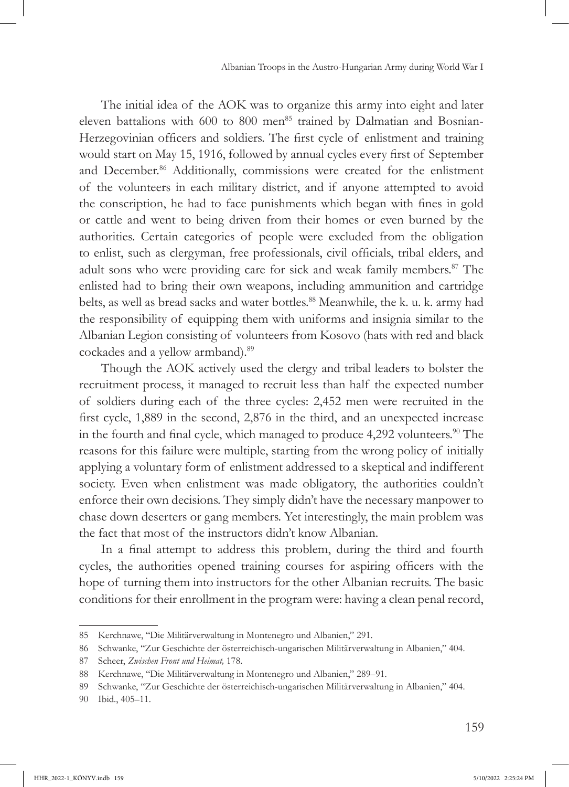The initial idea of the AOK was to organize this army into eight and later eleven battalions with 600 to 800 men<sup>85</sup> trained by Dalmatian and Bosnian-Herzegovinian officers and soldiers. The first cycle of enlistment and training would start on May 15, 1916, followed by annual cycles every first of September and December.<sup>86</sup> Additionally, commissions were created for the enlistment of the volunteers in each military district, and if anyone attempted to avoid the conscription, he had to face punishments which began with fines in gold or cattle and went to being driven from their homes or even burned by the authorities. Certain categories of people were excluded from the obligation to enlist, such as clergyman, free professionals, civil officials, tribal elders, and adult sons who were providing care for sick and weak family members.<sup>87</sup> The enlisted had to bring their own weapons, including ammunition and cartridge belts, as well as bread sacks and water bottles.<sup>88</sup> Meanwhile, the k. u. k. army had the responsibility of equipping them with uniforms and insignia similar to the Albanian Legion consisting of volunteers from Kosovo (hats with red and black cockades and a yellow armband).<sup>89</sup>

Though the AOK actively used the clergy and tribal leaders to bolster the recruitment process, it managed to recruit less than half the expected number of soldiers during each of the three cycles: 2,452 men were recruited in the first cycle, 1,889 in the second, 2,876 in the third, and an unexpected increase in the fourth and final cycle, which managed to produce 4,292 volunteers.<sup>90</sup> The reasons for this failure were multiple, starting from the wrong policy of initially applying a voluntary form of enlistment addressed to a skeptical and indifferent society. Even when enlistment was made obligatory, the authorities couldn't enforce their own decisions. They simply didn't have the necessary manpower to chase down deserters or gang members. Yet interestingly, the main problem was the fact that most of the instructors didn't know Albanian.

In a final attempt to address this problem, during the third and fourth cycles, the authorities opened training courses for aspiring officers with the hope of turning them into instructors for the other Albanian recruits. The basic conditions for their enrollment in the program were: having a clean penal record,

<sup>85</sup> Kerchnawe, "Die Militärverwaltung in Montenegro und Albanien," 291.

<sup>86</sup> Schwanke, "Zur Geschichte der österreichisch-ungarischen Militärverwaltung in Albanien," 404.

<sup>87</sup> Scheer, *Zwischen Front und Heimat,* 178.

<sup>88</sup> Kerchnawe, "Die Militärverwaltung in Montenegro und Albanien," 289–91.

<sup>89</sup> Schwanke, "Zur Geschichte der österreichisch-ungarischen Militärverwaltung in Albanien," 404.

<sup>90</sup> Ibid., 405–11.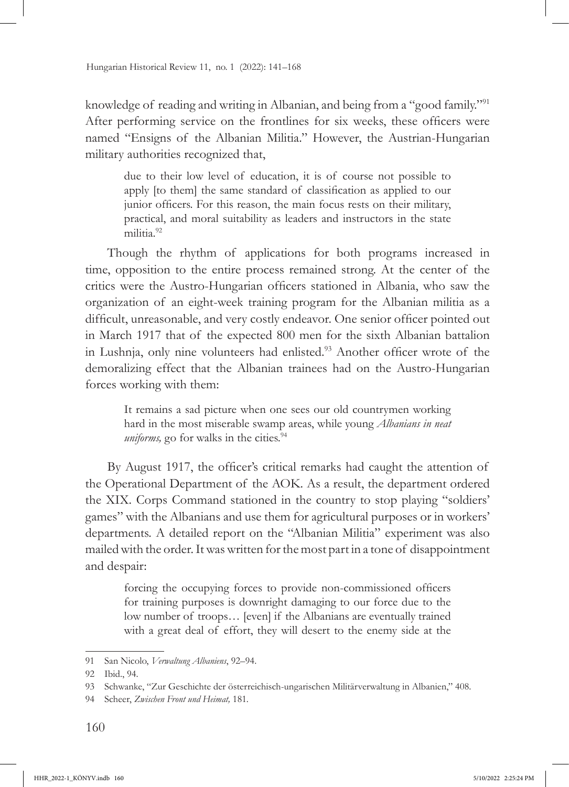knowledge of reading and writing in Albanian, and being from a "good family."<sup>91</sup> After performing service on the frontlines for six weeks, these officers were named "Ensigns of the Albanian Militia." However, the Austrian-Hungarian military authorities recognized that,

due to their low level of education, it is of course not possible to apply [to them] the same standard of classification as applied to our junior officers. For this reason, the main focus rests on their military, practical, and moral suitability as leaders and instructors in the state militia.92

Though the rhythm of applications for both programs increased in time, opposition to the entire process remained strong. At the center of the critics were the Austro-Hungarian officers stationed in Albania, who saw the organization of an eight-week training program for the Albanian militia as a difficult, unreasonable, and very costly endeavor. One senior officer pointed out in March 1917 that of the expected 800 men for the sixth Albanian battalion in Lushnja, only nine volunteers had enlisted.<sup>93</sup> Another officer wrote of the demoralizing effect that the Albanian trainees had on the Austro-Hungarian forces working with them:

It remains a sad picture when one sees our old countrymen working hard in the most miserable swamp areas, while young *Albanians in neat uniforms*, go for walks in the cities.<sup>94</sup>

By August 1917, the officer's critical remarks had caught the attention of the Operational Department of the AOK. As a result, the department ordered the XIX. Corps Command stationed in the country to stop playing "soldiers' games" with the Albanians and use them for agricultural purposes or in workers' departments. A detailed report on the "Albanian Militia" experiment was also mailed with the order. It was written for the most part in a tone of disappointment and despair:

forcing the occupying forces to provide non-commissioned officers for training purposes is downright damaging to our force due to the low number of troops… [even] if the Albanians are eventually trained with a great deal of effort, they will desert to the enemy side at the

<sup>91</sup> San Nicolo, *Verwaltung Albaniens*, 92–94.

<sup>92</sup> Ibid., 94.

<sup>93</sup> Schwanke, "Zur Geschichte der österreichisch-ungarischen Militärverwaltung in Albanien," 408.

<sup>94</sup> Scheer, *Zwischen Front und Heimat,* 181*.*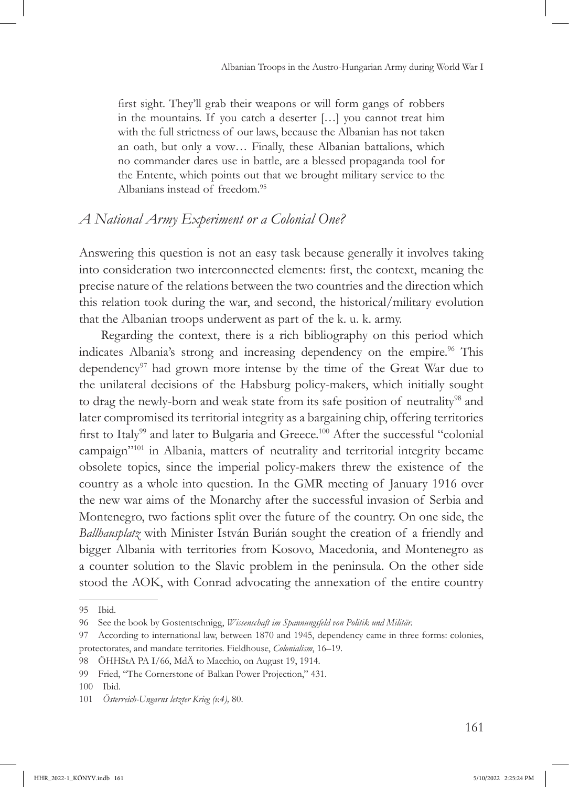first sight. They'll grab their weapons or will form gangs of robbers in the mountains. If you catch a deserter […] you cannot treat him with the full strictness of our laws, because the Albanian has not taken an oath, but only a vow… Finally, these Albanian battalions, which no commander dares use in battle, are a blessed propaganda tool for the Entente, which points out that we brought military service to the Albanians instead of freedom.95

## *A National Army Experiment or a Colonial One?*

Answering this question is not an easy task because generally it involves taking into consideration two interconnected elements: first, the context, meaning the precise nature of the relations between the two countries and the direction which this relation took during the war, and second, the historical/military evolution that the Albanian troops underwent as part of the k. u. k. army.

Regarding the context, there is a rich bibliography on this period which indicates Albania's strong and increasing dependency on the empire.<sup>96</sup> This dependency<sup>97</sup> had grown more intense by the time of the Great War due to the unilateral decisions of the Habsburg policy-makers, which initially sought to drag the newly-born and weak state from its safe position of neutrality<sup>98</sup> and later compromised its territorial integrity as a bargaining chip, offering territories first to Italy<sup>99</sup> and later to Bulgaria and Greece.<sup>100</sup> After the successful "colonial campaign"101 in Albania, matters of neutrality and territorial integrity became obsolete topics, since the imperial policy-makers threw the existence of the country as a whole into question. In the GMR meeting of January 1916 over the new war aims of the Monarchy after the successful invasion of Serbia and Montenegro, two factions split over the future of the country. On one side, the *Ballhausplatz* with Minister István Burián sought the creation of a friendly and bigger Albania with territories from Kosovo, Macedonia, and Montenegro as a counter solution to the Slavic problem in the peninsula. On the other side stood the AOK, with Conrad advocating the annexation of the entire country

<sup>95</sup> Ibid.

<sup>96</sup> See the book by Gostentschnigg, *Wissenschaft im Spannungsfeld von Politik und Militär.*

<sup>97</sup> According to international law, between 1870 and 1945, dependency came in three forms: colonies, protectorates, and mandate territories. Fieldhouse, *Colonialism*, 16–19.

<sup>98</sup> ÖHHStA PA I/66, MdÄ to Macchio, on August 19, 1914.

<sup>99</sup> Fried, "The Cornerstone of Balkan Power Projection," 431.

<sup>100</sup> Ibid.

<sup>101</sup> *Österreich-Ungarns letzter Krieg (v.4),* 80.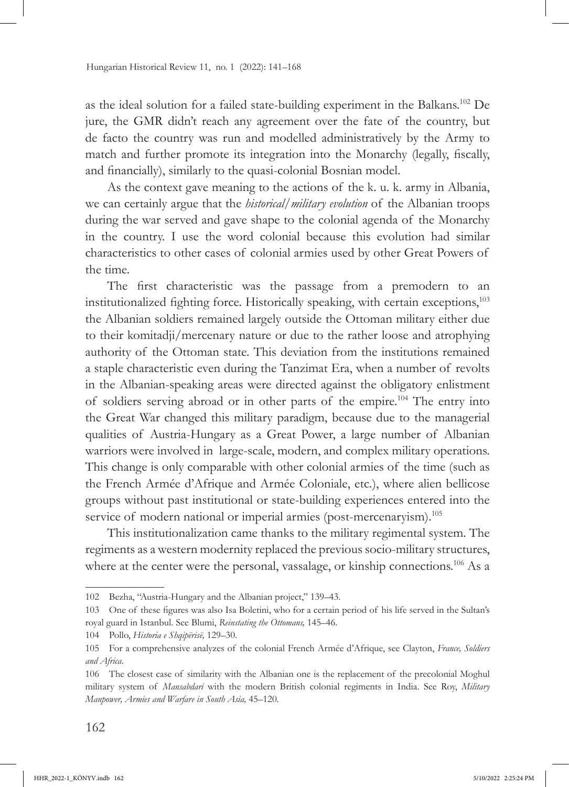as the ideal solution for a failed state-building experiment in the Balkans.102 De jure, the GMR didn't reach any agreement over the fate of the country, but de facto the country was run and modelled administratively by the Army to match and further promote its integration into the Monarchy (legally, fiscally, and financially), similarly to the quasi-colonial Bosnian model.

As the context gave meaning to the actions of the k. u. k. army in Albania, we can certainly argue that the *historical/military evolution* of the Albanian troops during the war served and gave shape to the colonial agenda of the Monarchy in the country. I use the word colonial because this evolution had similar characteristics to other cases of colonial armies used by other Great Powers of the time.

The first characteristic was the passage from a premodern to an institutionalized fighting force. Historically speaking, with certain exceptions,<sup>103</sup> the Albanian soldiers remained largely outside the Ottoman military either due to their komitadji/mercenary nature or due to the rather loose and atrophying authority of the Ottoman state. This deviation from the institutions remained a staple characteristic even during the Tanzimat Era, when a number of revolts in the Albanian-speaking areas were directed against the obligatory enlistment of soldiers serving abroad or in other parts of the empire.104 The entry into the Great War changed this military paradigm, because due to the managerial qualities of Austria-Hungary as a Great Power, a large number of Albanian warriors were involved in large-scale, modern, and complex military operations. This change is only comparable with other colonial armies of the time (such as the French Armée d'Afrique and Armée Coloniale, etc*.*), where alien bellicose groups without past institutional or state-building experiences entered into the service of modern national or imperial armies (post-mercenaryism).<sup>105</sup>

This institutionalization came thanks to the military regimental system. The regiments as a western modernity replaced the previous socio-military structures, where at the center were the personal, vassalage, or kinship connections.<sup>106</sup> As a

<sup>102</sup> Bezha, "Austria-Hungary and the Albanian project," 139–43.

<sup>103</sup> One of these figures was also Isa Boletini, who for a certain period of his life served in the Sultan's royal guard in Istanbul. See Blumi, *Reinstating the Ottomans,* 145–46.

<sup>104</sup> Pollo, *Historia e Shqipërisë,* 129–30.

<sup>105</sup> For a comprehensive analyzes of the colonial French Armée d'Afrique, see Clayton, *France, Soldiers and Africa*.

<sup>106</sup> The closest case of similarity with the Albanian one is the replacement of the precolonial Moghul military system of *Mansabdari* with the modern British colonial regiments in India. See Roy, *Military Manpower, Armies and Warfare in South Asia,* 45–120*.*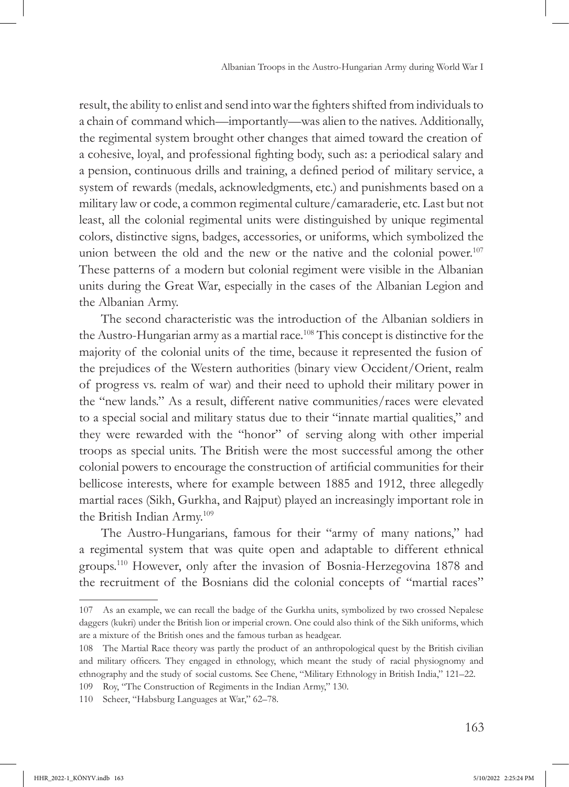result, the ability to enlist and send into war the fighters shifted from individuals to a chain of command which—importantly—was alien to the natives. Additionally, the regimental system brought other changes that aimed toward the creation of a cohesive, loyal, and professional fighting body, such as: a periodical salary and a pension, continuous drills and training, a defined period of military service, a system of rewards (medals, acknowledgments, etc.) and punishments based on a military law or code, a common regimental culture/camaraderie, etc. Last but not least, all the colonial regimental units were distinguished by unique regimental colors, distinctive signs, badges, accessories, or uniforms, which symbolized the union between the old and the new or the native and the colonial power.<sup>107</sup> These patterns of a modern but colonial regiment were visible in the Albanian units during the Great War, especially in the cases of the Albanian Legion and the Albanian Army.

The second characteristic was the introduction of the Albanian soldiers in the Austro-Hungarian army as a martial race.108 This concept is distinctive for the majority of the colonial units of the time, because it represented the fusion of the prejudices of the Western authorities (binary view Occident/Orient, realm of progress vs. realm of war) and their need to uphold their military power in the "new lands." As a result, different native communities/races were elevated to a special social and military status due to their "innate martial qualities," and they were rewarded with the "honor" of serving along with other imperial troops as special units. The British were the most successful among the other colonial powers to encourage the construction of artificial communities for their bellicose interests, where for example between 1885 and 1912, three allegedly martial races (Sikh, Gurkha, and Rajput) played an increasingly important role in the British Indian Army.109

The Austro-Hungarians, famous for their "army of many nations," had a regimental system that was quite open and adaptable to different ethnical groups.110 However, only after the invasion of Bosnia-Herzegovina 1878 and the recruitment of the Bosnians did the colonial concepts of "martial races"

<sup>107</sup> As an example, we can recall the badge of the Gurkha units, symbolized by two crossed Nepalese daggers (kukri) under the British lion or imperial crown. One could also think of the Sikh uniforms, which are a mixture of the British ones and the famous turban as headgear.

<sup>108</sup> The Martial Race theory was partly the product of an anthropological quest by the British civilian and military officers. They engaged in ethnology, which meant the study of racial physiognomy and ethnography and the study of social customs. See Chene, "Military Ethnology in British India," 121–22.

<sup>109</sup> Roy, "The Construction of Regiments in the Indian Army," 130.

<sup>110</sup> Scheer, "Habsburg Languages at War," 62–78.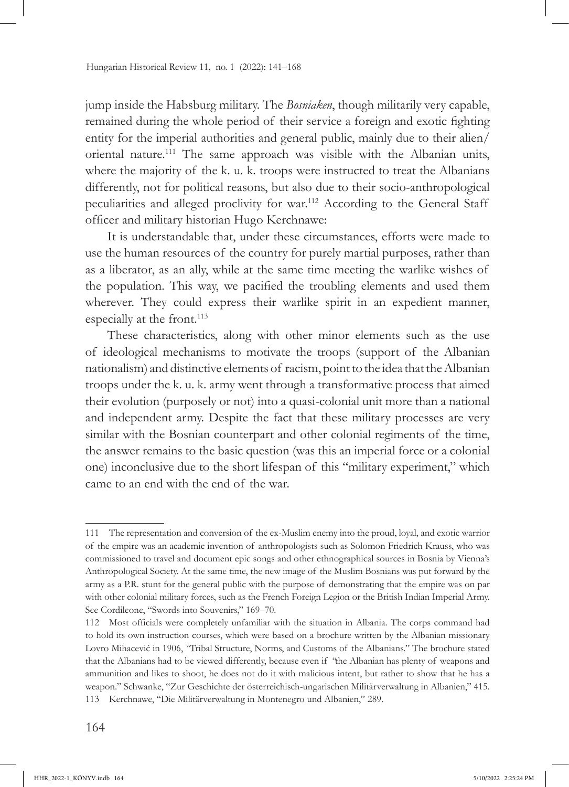jump inside the Habsburg military. The *Bosniaken*, though militarily very capable, remained during the whole period of their service a foreign and exotic fighting entity for the imperial authorities and general public, mainly due to their alien/ oriental nature.111 The same approach was visible with the Albanian units, where the majority of the k. u. k. troops were instructed to treat the Albanians differently, not for political reasons, but also due to their socio-anthropological peculiarities and alleged proclivity for war.112 According to the General Staff officer and military historian Hugo Kerchnawe:

It is understandable that, under these circumstances, efforts were made to use the human resources of the country for purely martial purposes, rather than as a liberator, as an ally, while at the same time meeting the warlike wishes of the population. This way, we pacified the troubling elements and used them wherever. They could express their warlike spirit in an expedient manner, especially at the front.<sup>113</sup>

These characteristics, along with other minor elements such as the use of ideological mechanisms to motivate the troops (support of the Albanian nationalism) and distinctive elements of racism, point to the idea that the Albanian troops under the k. u. k. army went through a transformative process that aimed their evolution (purposely or not) into a quasi-colonial unit more than a national and independent army. Despite the fact that these military processes are very similar with the Bosnian counterpart and other colonial regiments of the time, the answer remains to the basic question (was this an imperial force or a colonial one) inconclusive due to the short lifespan of this "military experiment," which came to an end with the end of the war.

<sup>111</sup> The representation and conversion of the ex-Muslim enemy into the proud, loyal, and exotic warrior of the empire was an academic invention of anthropologists such as Solomon Friedrich Krauss, who was commissioned to travel and document epic songs and other ethnographical sources in Bosnia by Vienna's Anthropological Society. At the same time, the new image of the Muslim Bosnians was put forward by the army as a P.R. stunt for the general public with the purpose of demonstrating that the empire was on par with other colonial military forces, such as the French Foreign Legion or the British Indian Imperial Army. See Cordileone, "Swords into Souvenirs," 169–70.

<sup>112</sup> Most officials were completely unfamiliar with the situation in Albania. The corps command had to hold its own instruction courses, which were based on a brochure written by the Albanian missionary Lovro Mihacević in 1906, *"*Tribal Structure, Norms, and Customs of the Albanians." The brochure stated that the Albanians had to be viewed differently, because even if *"*the Albanian has plenty of weapons and ammunition and likes to shoot, he does not do it with malicious intent, but rather to show that he has a weapon." Schwanke, "Zur Geschichte der österreichisch-ungarischen Militärverwaltung in Albanien," 415. 113 Kerchnawe, "Die Militärverwaltung in Montenegro und Albanien," 289.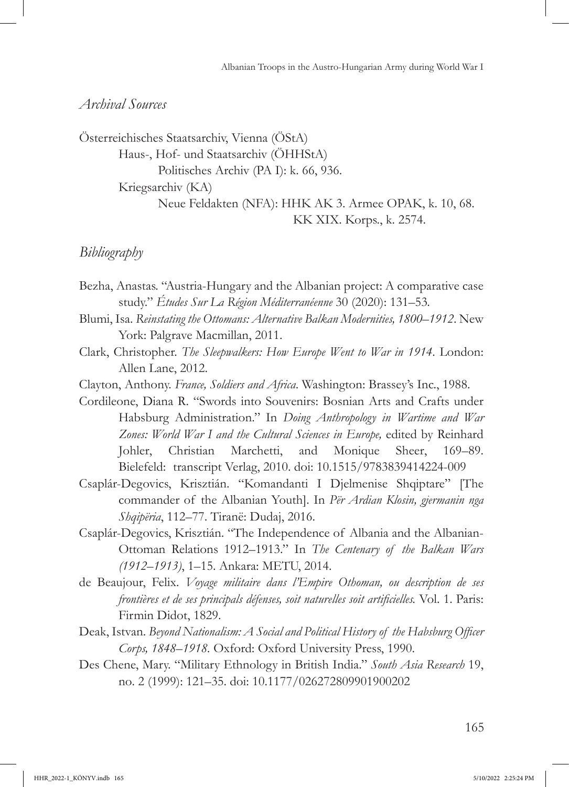### *Archival Sources*

Österreichisches Staatsarchiv, Vienna (ÖStA) Haus-, Hof- und Staatsarchiv (ÖHHStA) Politisches Archiv (PA I): k. 66, 936. Kriegsarchiv (KA) Neue Feldakten (NFA): HHK AK 3. Armee OPAK, k. 10, 68. KK XIX. Korps., k. 2574.

### *Bibliography*

- Bezha, Anastas. "Austria-Hungary and the Albanian project: A comparative case study." *Études Sur La Région Méditerranéenne* 30 (2020): 131–53*.*
- Blumi, Isa. *Reinstating the Ottomans: Alternative Balkan Modernities, 1800–1912*. New York: Palgrave Macmillan, 2011.
- Clark, Christopher. *The Sleepwalkers: How Europe Went to War in 1914*. London: Allen Lane, 2012.
- Clayton, Anthony. *France, Soldiers and Africa*. Washington: Brassey's Inc., 1988.
- Cordileone, Diana R. "Swords into Souvenirs: Bosnian Arts and Crafts under Habsburg Administration." In *Doing Anthropology in Wartime and War Zones: World War I and the Cultural Sciences in Europe,* edited by Reinhard Johler, Christian Marchetti, and Monique Sheer, 169–89. Bielefeld: transcript Verlag, 2010. doi: [10.1515/9783839414224-009](https://doi.org/10.1515/9783839414224-009)
- Csaplár-Degovics, Krisztián. "Komandanti I Djelmenise Shqiptare" [The commander of the Albanian Youth]. In *Për Ardian Klosin, gjermanin nga Shqipëria*, 112–77. Tiranë: Dudaj, 2016.
- Csaplár-Degovics, Krisztián. "The Independence of Albania and the Albanian-Ottoman Relations 1912–1913." In *The Centenary of the Balkan Wars (1912–1913)*, 1–15. Ankara: METU, 2014.
- de Beaujour, Felix. *Voyage militaire dans l'Empire Othoman, ou description de ses frontières et de ses principals défenses, soit naturelles soit artificielles.* Vol. 1. Paris: Firmin Didot, 1829.
- Deak, Istvan. *Beyond Nationalism: A Social and Political History of the Habsburg Officer Corps, 1848–1918.* Oxford: Oxford University Press, 1990.
- Des Chene, Mary. "Military Ethnology in British India." *South Asia Research* 19, no. 2 (1999): 121–35. doi: [10.1177/026272809901900202](https://doi.org/10.1177/026272809901900202)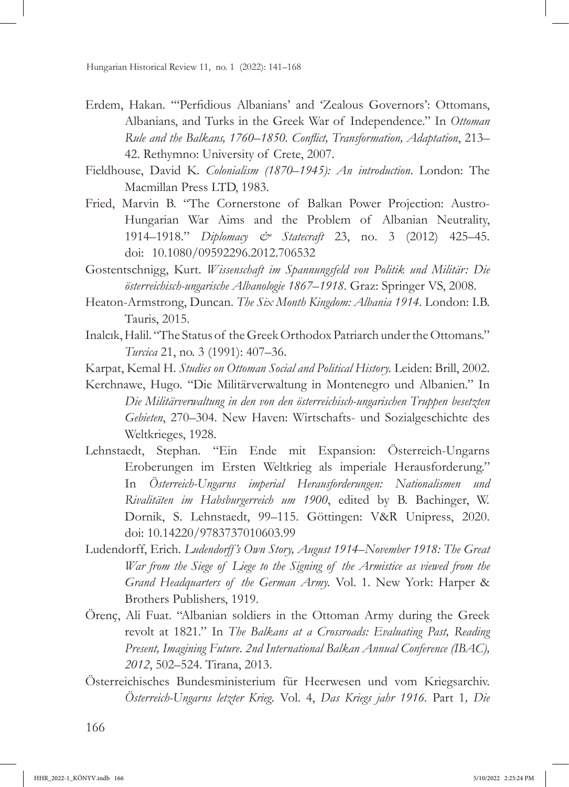- Erdem, Hakan. "'Perfidious Albanians' and 'Zealous Governors': Ottomans, Albanians, and Turks in the Greek War of Independence." In *Ottoman Rule and the Balkans, 1760–1850. Conflict, Transformation, Adaptation*, 213– 42. Rethymno: University of Crete, 2007.
- Fieldhouse, David K. *Colonialism (1870–1945): An introduction*. London: The Macmillan Press LTD, 1983.
- Fried, Marvin B. "The Cornerstone of Balkan Power Projection: Austro-Hungarian War Aims and the Problem of Albanian Neutrality, 1914–1918." *Diplomacy & Statecraft* 23, no. 3 (2012) 425–45. doi: [10.1080/09592296.2012.706532](https://doi.org/10.1080/09592296.2012.706532)
- Gostentschnigg, Kurt. *Wissenschaft im Spannungsfeld von Politik und Militär: Die österreichisch-ungarische Albanologie 1867–1918*. Graz: Springer VS, 2008.
- Heaton-Armstrong, Duncan. *The Six Month Kingdom: Albania 1914*. London: I.B. Tauris, 2015.
- Inalcık, Halil. "The Status of the Greek Orthodox Patriarch under the Ottomans." *Turcica* 21, no. 3 (1991): 407–36.
- Karpat, Kemal H. *Studies on Ottoman Social and Political History.* Leiden: Brill, 2002.
- Kerchnawe, Hugo*.* "Die Militärverwaltung in Montenegro und Albanien." In *Die Militärverwaltung in den von den österreichisch-ungarischen Truppen besetzten Gebieten*, 270–304. New Haven: Wirtschafts- und Sozialgeschichte des Weltkrieges, 1928.
- Lehnstaedt, Stephan. "Ein Ende mit Expansion: Österreich-Ungarns Eroberungen im Ersten Weltkrieg als imperiale Herausforderung." In *Österreich-Ungarns imperial Herausforderungen: Nationalismen und Rivalitäten im Habsburgerreich um 1900*, edited by B. Bachinger, W. Dornik, S. Lehnstaedt, 99–115. Göttingen: V&R Unipress, 2020. doi: [10.14220/9783737010603.99](https://doi.org/10.14220/9783737010603.99)
- Ludendorff, Erich. *Ludendorff's Own Story, August 1914–November 1918: The Great War from the Siege of Liege to the Signing of the Armistice as viewed from the Grand Headquarters of the German Army.* Vol. 1. New York: Harper & Brothers Publishers, 1919.
- Örenç, Ali Fuat. "Albanian soldiers in the Ottoman Army during the Greek revolt at 1821." In *The Balkans at a Crossroads: Evaluating Past, Reading Present, Imagining Future*. *2nd International Balkan Annual Conference (IBAC), 2012*, 502–524. Tirana, 2013.
- Österreichisches Bundesministerium für Heerwesen und vom Kriegsarchiv. *Österreich-Ungarns letzter Krieg.* Vol. 4, *Das Kriegs jahr 1916.* Part 1*, Die*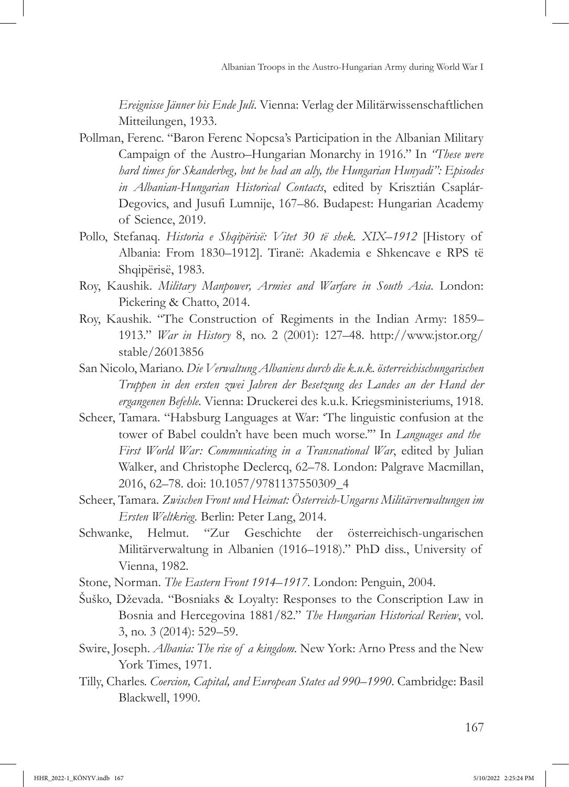*Ereignisse Jänner bis Ende Juli*. Vienna: Verlag der Militärwissenschaftlichen Mitteilungen, 1933.

- Pollman, Ferenc. "Baron Ferenc Nopcsa's Participation in the Albanian Military Campaign of the Austro–Hungarian Monarchy in 1916." In *"These were hard times for Skanderbeg, but he had an ally, the Hungarian Hunyadi": Episodes in Albanian-Hungarian Historical Contacts*, edited by Krisztián Csaplár-Degovics, and Jusufi Lumnije, 167–86. Budapest: Hungarian Academy of Science, 2019.
- Pollo, Stefanaq. *Historia e Shqipërisë: Vitet 30 të shek. XIX–1912* [History of Albania: From 1830–1912]. Tiranë: Akademia e Shkencave e RPS të Shqipërisë, 1983.
- Roy, Kaushik. *Military Manpower, Armies and Warfare in South Asia*. London: Pickering & Chatto, 2014.
- Roy, Kaushik. "The Construction of Regiments in the Indian Army: 1859– 1913." *War in History* 8, no. 2 (2001): 127–48. http://www.jstor.org/ stable/26013856
- San Nicolo, Mariano. *Die Verwaltung Albaniens durch die k.u.k. österreichischungarischen Truppen in den ersten zwei Jahren der Besetzung des Landes an der Hand der ergangenen Befehle.* Vienna: Druckerei des k.u.k. Kriegsministeriums, 1918.
- Scheer, Tamara. "Habsburg Languages at War: 'The linguistic confusion at the tower of Babel couldn't have been much worse.'" In *Languages and the First World War: Communicating in a Transnational War*, edited by Julian Walker, and Christophe Declercq, 62–78. London: Palgrave Macmillan, 2016, 62–78. doi: [10.1057/9781137550309\\_4](https://doi.org/10.1057/9781137550309_4)
- Scheer, Tamara. *Zwischen Front und Heimat: Österreich-Ungarns Militärverwaltungen im Ersten Weltkrieg.* Berlin: Peter Lang, 2014.
- Schwanke, Helmut. "Zur Geschichte der österreichisch-ungarischen Militärverwaltung in Albanien (1916–1918)." PhD diss., University of Vienna, 1982.
- Stone, Norman. *The Eastern Front 1914–1917*. London: Penguin, 2004.
- Šuško, Dževada. "Bosniaks & Loyalty: Responses to the Conscription Law in Bosnia and Hercegovina 1881/82." *The Hungarian Historical Review*, vol. 3, no. 3 (2014): 529–59.
- Swire, Joseph. *Albania: The rise of a kingdom.* New York: Arno Press and the New York Times, 1971.
- Tilly, Charles. *Coercion, Capital, and European States ad 990–1990*. Cambridge: Basil Blackwell, 1990.